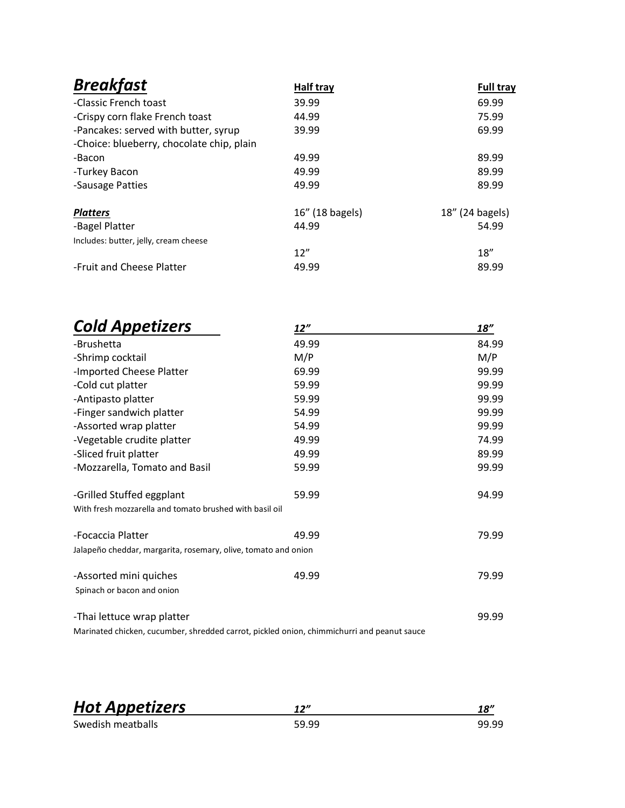| <b>Breakfast</b>                          | Half tray       | <b>Full tray</b> |
|-------------------------------------------|-----------------|------------------|
| -Classic French toast                     | 39.99           | 69.99            |
| -Crispy corn flake French toast           | 44.99           | 75.99            |
| -Pancakes: served with butter, syrup      | 39.99           | 69.99            |
| -Choice: blueberry, chocolate chip, plain |                 |                  |
| -Bacon                                    | 49.99           | 89.99            |
| -Turkey Bacon                             | 49.99           | 89.99            |
| -Sausage Patties                          | 49.99           | 89.99            |
| <b>Platters</b>                           | 16" (18 bagels) | 18" (24 bagels)  |
| -Bagel Platter                            | 44.99           | 54.99            |
| Includes: butter, jelly, cream cheese     |                 |                  |
|                                           | 12"             | 18''             |
| -Fruit and Cheese Platter                 | 49.99           | 89.99            |

| <b>Cold Appetizers</b>                                                                     | 12''  | 18"   |
|--------------------------------------------------------------------------------------------|-------|-------|
| -Brushetta                                                                                 | 49.99 | 84.99 |
| -Shrimp cocktail                                                                           | M/P   | M/P   |
| -Imported Cheese Platter                                                                   | 69.99 | 99.99 |
| -Cold cut platter                                                                          | 59.99 | 99.99 |
| -Antipasto platter                                                                         | 59.99 | 99.99 |
| -Finger sandwich platter                                                                   | 54.99 | 99.99 |
| -Assorted wrap platter                                                                     | 54.99 | 99.99 |
| -Vegetable crudite platter                                                                 | 49.99 | 74.99 |
| -Sliced fruit platter                                                                      | 49.99 | 89.99 |
| -Mozzarella, Tomato and Basil                                                              | 59.99 | 99.99 |
| -Grilled Stuffed eggplant                                                                  | 59.99 | 94.99 |
| With fresh mozzarella and tomato brushed with basil oil                                    |       |       |
| -Focaccia Platter                                                                          | 49.99 | 79.99 |
| Jalapeño cheddar, margarita, rosemary, olive, tomato and onion                             |       |       |
| -Assorted mini quiches                                                                     | 49.99 | 79.99 |
| Spinach or bacon and onion                                                                 |       |       |
| -Thai lettuce wrap platter                                                                 |       | 99.99 |
| Marinated chicken, cucumber, shredded carrot, pickled onion, chimmichurri and peanut sauce |       |       |

| <b>Hot Appetizers</b> | 12''  | 18"   |
|-----------------------|-------|-------|
| Swedish meatballs     | 59.99 | 99.99 |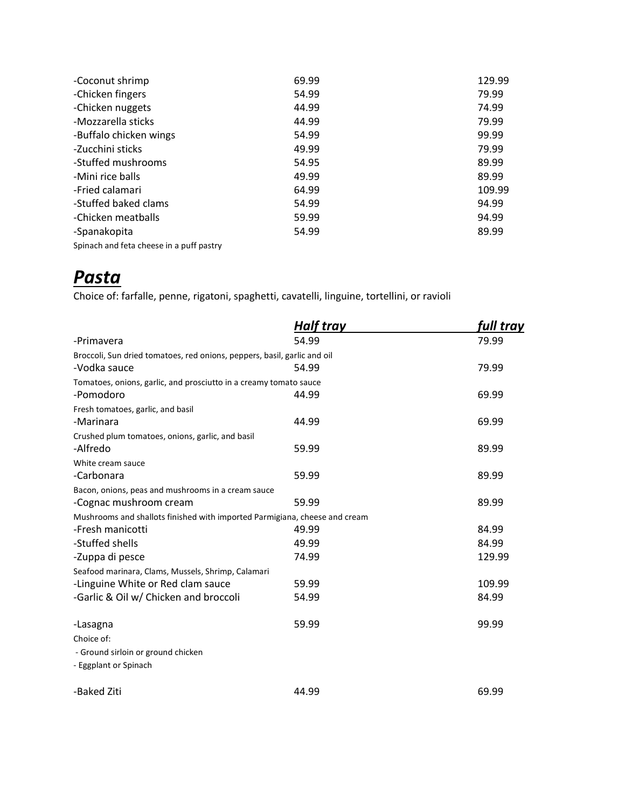| -Coconut shrimp                          | 69.99 | 129.99 |
|------------------------------------------|-------|--------|
| -Chicken fingers                         | 54.99 | 79.99  |
| -Chicken nuggets                         | 44.99 | 74.99  |
| -Mozzarella sticks                       | 44.99 | 79.99  |
| -Buffalo chicken wings                   | 54.99 | 99.99  |
| -Zucchini sticks                         | 49.99 | 79.99  |
| -Stuffed mushrooms                       | 54.95 | 89.99  |
| -Mini rice balls                         | 49.99 | 89.99  |
| -Fried calamari                          | 64.99 | 109.99 |
| -Stuffed baked clams                     | 54.99 | 94.99  |
| -Chicken meatballs                       | 59.99 | 94.99  |
| -Spanakopita                             | 54.99 | 89.99  |
| Spinach and feta cheese in a puff pastry |       |        |

# *Pasta*

Choice of: farfalle, penne, rigatoni, spaghetti, cavatelli, linguine, tortellini, or ravioli

|                                                                            | <b>Half tray</b> | full tray |
|----------------------------------------------------------------------------|------------------|-----------|
| -Primavera                                                                 | 54.99            | 79.99     |
| Broccoli, Sun dried tomatoes, red onions, peppers, basil, garlic and oil   |                  |           |
| -Vodka sauce                                                               | 54.99            | 79.99     |
| Tomatoes, onions, garlic, and prosciutto in a creamy tomato sauce          |                  |           |
| -Pomodoro                                                                  | 44.99            | 69.99     |
| Fresh tomatoes, garlic, and basil                                          |                  |           |
| -Marinara                                                                  | 44.99            | 69.99     |
| Crushed plum tomatoes, onions, garlic, and basil                           |                  |           |
| -Alfredo                                                                   | 59.99            | 89.99     |
| White cream sauce                                                          |                  |           |
| -Carbonara                                                                 | 59.99            | 89.99     |
| Bacon, onions, peas and mushrooms in a cream sauce                         |                  |           |
| -Cognac mushroom cream                                                     | 59.99            | 89.99     |
| Mushrooms and shallots finished with imported Parmigiana, cheese and cream |                  |           |
| -Fresh manicotti                                                           | 49.99            | 84.99     |
| -Stuffed shells                                                            | 49.99            | 84.99     |
| -Zuppa di pesce                                                            | 74.99            | 129.99    |
| Seafood marinara, Clams, Mussels, Shrimp, Calamari                         |                  |           |
| -Linguine White or Red clam sauce                                          | 59.99            | 109.99    |
| -Garlic & Oil w/ Chicken and broccoli                                      | 54.99            | 84.99     |
| -Lasagna                                                                   | 59.99            | 99.99     |
| Choice of:                                                                 |                  |           |
| - Ground sirloin or ground chicken                                         |                  |           |
| - Eggplant or Spinach                                                      |                  |           |
| -Baked Ziti                                                                | 44.99            | 69.99     |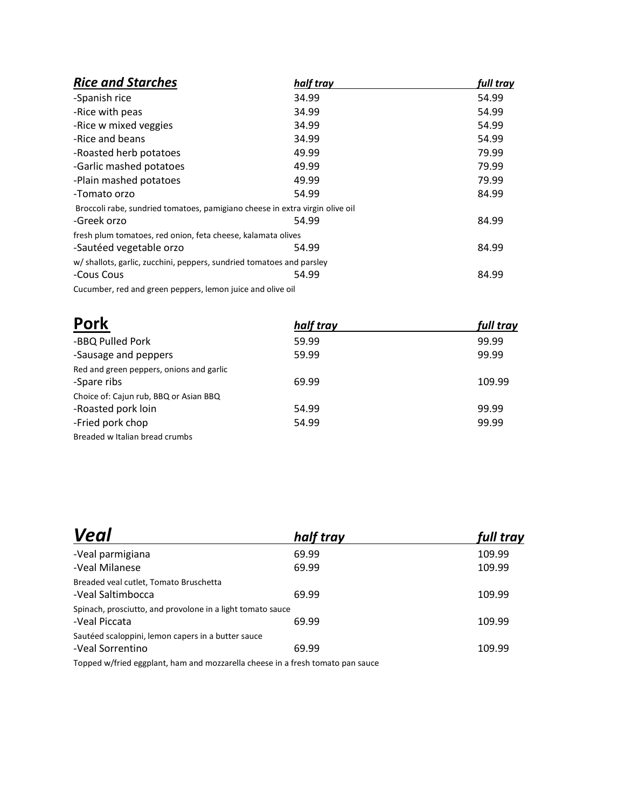| <b>Rice and Starches</b>                                                     | half tray | full tray |
|------------------------------------------------------------------------------|-----------|-----------|
| -Spanish rice                                                                | 34.99     | 54.99     |
| -Rice with peas                                                              | 34.99     | 54.99     |
| -Rice w mixed veggies                                                        | 34.99     | 54.99     |
| -Rice and beans                                                              | 34.99     | 54.99     |
| -Roasted herb potatoes                                                       | 49.99     | 79.99     |
| -Garlic mashed potatoes                                                      | 49.99     | 79.99     |
| -Plain mashed potatoes                                                       | 49.99     | 79.99     |
| -Tomato orzo                                                                 | 54.99     | 84.99     |
| Broccoli rabe, sundried tomatoes, pamigiano cheese in extra virgin olive oil |           |           |
| -Greek orzo                                                                  | 54.99     | 84.99     |
| fresh plum tomatoes, red onion, feta cheese, kalamata olives                 |           |           |
| -Sautéed vegetable orzo                                                      | 54.99     | 84.99     |
| w/ shallots, garlic, zucchini, peppers, sundried tomatoes and parsley        |           |           |
| -Cous Cous                                                                   | 54.99     | 84.99     |
| Cucumber, red and green peppers, lemon juice and olive oil                   |           |           |

| <b>Pork</b>                                             | half tray | full tray |
|---------------------------------------------------------|-----------|-----------|
| -BBQ Pulled Pork                                        | 59.99     | 99.99     |
| -Sausage and peppers                                    | 59.99     | 99.99     |
| Red and green peppers, onions and garlic<br>-Spare ribs | 69.99     | 109.99    |
| Choice of: Cajun rub, BBQ or Asian BBQ                  |           |           |
| -Roasted pork loin                                      | 54.99     | 99.99     |
| -Fried pork chop                                        | 54.99     | 99.99     |
| Breaded w Italian bread crumbs                          |           |           |

| Veal                                                                        | half tray | full tray |
|-----------------------------------------------------------------------------|-----------|-----------|
| -Veal parmigiana                                                            | 69.99     | 109.99    |
| -Veal Milanese                                                              | 69.99     | 109.99    |
| Breaded veal cutlet, Tomato Bruschetta<br>-Veal Saltimbocca                 | 69.99     | 109.99    |
| Spinach, prosciutto, and provolone in a light tomato sauce<br>-Veal Piccata | 69.99     | 109.99    |
| Sautéed scaloppini, lemon capers in a butter sauce<br>-Veal Sorrentino      | 69.99     | 109.99    |

Topped w/fried eggplant, ham and mozzarella cheese in a fresh tomato pan sauce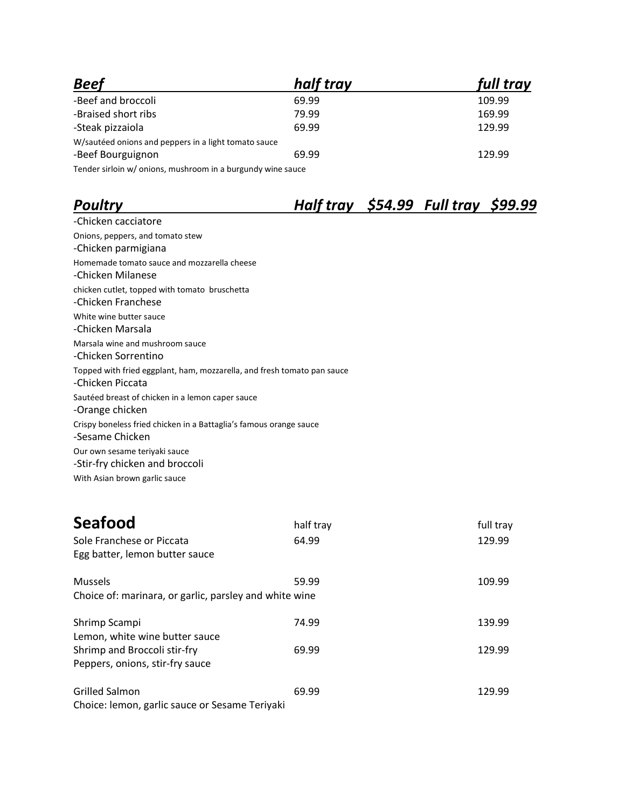| <b>Beef</b>                                                 | half tray | full tray |
|-------------------------------------------------------------|-----------|-----------|
| -Beef and broccoli                                          | 69.99     | 109.99    |
| -Braised short ribs                                         | 79.99     | 169.99    |
| -Steak pizzaiola                                            | 69.99     | 129.99    |
| W/sautéed onions and peppers in a light tomato sauce        |           |           |
| -Beef Bourguignon                                           | 69.99     | 129.99    |
| Tender sirloin w/ onions, mushroom in a burgundy wine sauce |           |           |

## *Poultry Half tray \$54.99 Full tray \$99.99*

| -Chicken cacciatore                                                     |
|-------------------------------------------------------------------------|
| Onions, peppers, and tomato stew                                        |
| -Chicken parmigiana                                                     |
| Homemade tomato sauce and mozzarella cheese                             |
| -Chicken Milanese                                                       |
| chicken cutlet, topped with tomato bruschetta                           |
| -Chicken Franchese                                                      |
| White wine butter sauce                                                 |
| -Chicken Marsala                                                        |
| Marsala wine and mushroom sauce                                         |
| -Chicken Sorrentino                                                     |
| Topped with fried eggplant, ham, mozzarella, and fresh tomato pan sauce |
| -Chicken Piccata                                                        |
| Sautéed breast of chicken in a lemon caper sauce                        |
| -Orange chicken                                                         |
| Crispy boneless fried chicken in a Battaglia's famous orange sauce      |
| -Sesame Chicken                                                         |
| Our own sesame teriyaki sauce                                           |
| -Stir-fry chicken and broccoli                                          |
| With Asian brown garlic sauce                                           |

| <b>Seafood</b><br>Sole Franchese or Piccata<br>Egg batter, lemon butter sauce | half tray<br>64.99 | full tray<br>129.99 |
|-------------------------------------------------------------------------------|--------------------|---------------------|
| <b>Mussels</b><br>Choice of: marinara, or garlic, parsley and white wine      | 59.99              | 109.99              |
| Shrimp Scampi<br>Lemon, white wine butter sauce                               | 74.99              | 139.99              |
| Shrimp and Broccoli stir-fry<br>Peppers, onions, stir-fry sauce               | 69.99              | 129.99              |
| <b>Grilled Salmon</b><br>Choice: lemon, garlic sauce or Sesame Teriyaki       | 69.99              | 129.99              |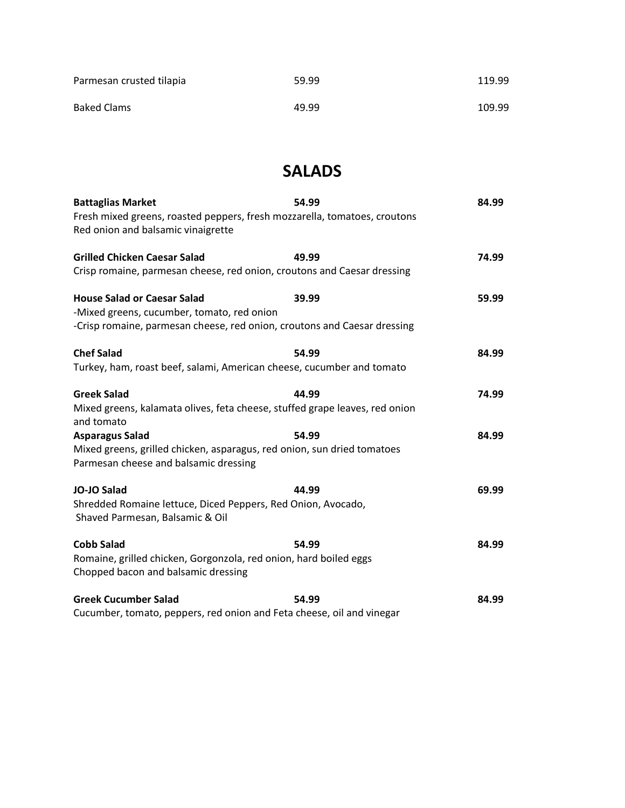| Parmesan crusted tilapia | 59.99 | 119.99 |
|--------------------------|-------|--------|
| <b>Baked Clams</b>       | 49.99 | 109.99 |

### **SALADS**

| <b>Battaglias Market</b>                                                                                         | 54.99 | 84.99 |
|------------------------------------------------------------------------------------------------------------------|-------|-------|
| Fresh mixed greens, roasted peppers, fresh mozzarella, tomatoes, croutons<br>Red onion and balsamic vinaigrette  |       |       |
| <b>Grilled Chicken Caesar Salad</b>                                                                              | 49.99 | 74.99 |
| Crisp romaine, parmesan cheese, red onion, croutons and Caesar dressing                                          |       |       |
| <b>House Salad or Caesar Salad</b><br>-Mixed greens, cucumber, tomato, red onion                                 | 39.99 | 59.99 |
| -Crisp romaine, parmesan cheese, red onion, croutons and Caesar dressing                                         |       |       |
| <b>Chef Salad</b>                                                                                                | 54.99 | 84.99 |
| Turkey, ham, roast beef, salami, American cheese, cucumber and tomato                                            |       |       |
| <b>Greek Salad</b>                                                                                               | 44.99 | 74.99 |
| Mixed greens, kalamata olives, feta cheese, stuffed grape leaves, red onion<br>and tomato                        |       |       |
| <b>Asparagus Salad</b>                                                                                           | 54.99 | 84.99 |
| Mixed greens, grilled chicken, asparagus, red onion, sun dried tomatoes<br>Parmesan cheese and balsamic dressing |       |       |
| <b>JO-JO Salad</b>                                                                                               | 44.99 | 69.99 |
| Shredded Romaine lettuce, Diced Peppers, Red Onion, Avocado,<br>Shaved Parmesan, Balsamic & Oil                  |       |       |
| <b>Cobb Salad</b>                                                                                                | 54.99 | 84.99 |
| Romaine, grilled chicken, Gorgonzola, red onion, hard boiled eggs<br>Chopped bacon and balsamic dressing         |       |       |
| <b>Greek Cucumber Salad</b>                                                                                      | 54.99 | 84.99 |
| Cucumber, tomato, peppers, red onion and Feta cheese, oil and vinegar                                            |       |       |